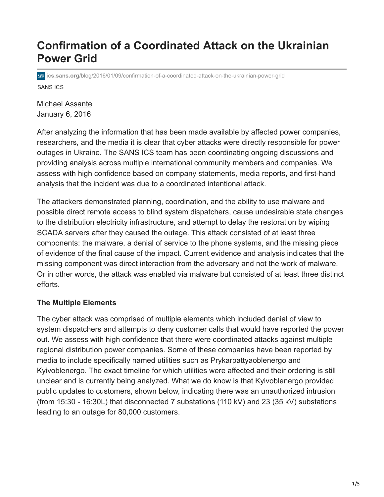# **Confirmation of a Coordinated Attack on the Ukrainian Power Grid**

SANS ICS **ics.sans.org**[/blog/2016/01/09/confirmation-of-a-coordinated-attack-on-the-ukrainian-power-grid](https://ics.sans.org/blog/2016/01/09/confirmation-of-a-coordinated-attack-on-the-ukrainian-power-grid)

# [Michael Assante](http://10.10.0.46/profiles/michael-assante?msc=blog-author) January 6, 2016

After analyzing the information that has been made available by affected power companies, researchers, and the media it is clear that cyber attacks were directly responsible for power outages in Ukraine. The SANS ICS team has been coordinating ongoing discussions and providing analysis across multiple international community members and companies. We assess with high confidence based on company statements, media reports, and first-hand analysis that the incident was due to a coordinated intentional attack.

The attackers demonstrated planning, coordination, and the ability to use malware and possible direct remote access to blind system dispatchers, cause undesirable state changes to the distribution electricity infrastructure, and attempt to delay the restoration by wiping SCADA servers after they caused the outage. This attack consisted of at least three components: the malware, a denial of service to the phone systems, and the missing piece of evidence of the final cause of the impact. Current evidence and analysis indicates that the missing component was direct interaction from the adversary and not the work of malware. Or in other words, the attack was enabled via malware but consisted of at least three distinct efforts.

# **The Multiple Elements**

The cyber attack was comprised of multiple elements which included denial of view to system dispatchers and attempts to deny customer calls that would have reported the power out. We assess with high confidence that there were coordinated attacks against multiple regional distribution power companies. Some of these companies have been reported by media to include specifically named utilities such as Prykarpattyaoblenergo and Kyivoblenergo. The exact timeline for which utilities were affected and their ordering is still unclear and is currently being analyzed. What we do know is that Kyivoblenergo provided public updates to customers, shown below, indicating there was an unauthorized intrusion (from 15:30 - 16:30L) that disconnected 7 substations (110 kV) and 23 (35 kV) substations leading to an outage for 80,000 customers.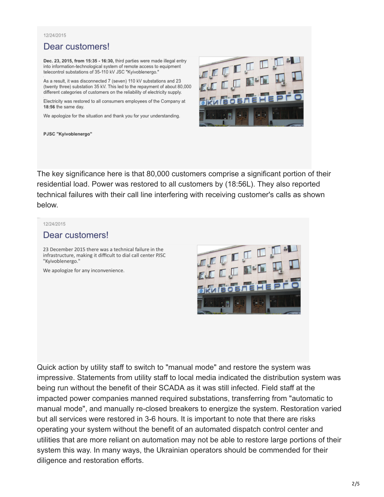### 12/24/2015

# Dear customers!

Dec. 23, 2015, from 15:35 - 16:30, third parties were made illegal entry into information-technological system of remote access to equipment telecontrol substations of 35-110 kV JSC "Kyivoblenergo."

As a result, it was disconnected 7 (seven) 110 kV substations and 23 (twenty three) substation 35 kV. This led to the repayment of about 80,000 different categories of customers on the reliability of electricity supply.

Electricity was restored to all consumers employees of the Company at 18:56 the same day.

We apologize for the situation and thank you for your understanding.



PJSC "Kyivoblenergo"

The key significance here is that 80,000 customers comprise a significant portion of their residential load. Power was restored to all customers by (18:56L). They also reported technical failures with their call line interfering with receiving customer's calls as shown below.

### 12/24/2015

### Dear customers!

23 December 2015 there was a technical failure in the infrastructure, making it difficult to dial call center PJSC "Kyivoblenergo."

We apologize for any inconvenience.



Quick action by utility staff to switch to "manual mode" and restore the system was impressive. Statements from utility staff to local media indicated the distribution system was being run without the benefit of their SCADA as it was still infected. Field staff at the impacted power companies manned required substations, transferring from "automatic to manual mode", and manually re-closed breakers to energize the system. Restoration varied but all services were restored in 3-6 hours. It is important to note that there are risks operating your system without the benefit of an automated dispatch control center and utilities that are more reliant on automation may not be able to restore large portions of their system this way. In many ways, the Ukrainian operators should be commended for their diligence and restoration efforts.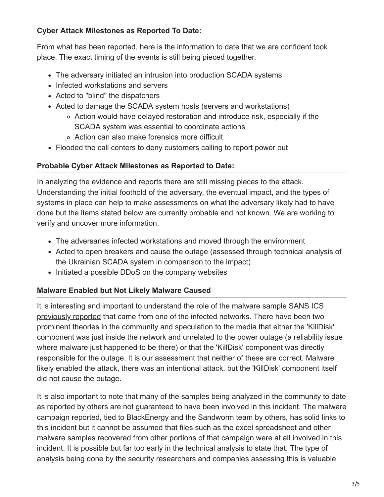From what has been reported, here is the information to date that we are confident took place. The exact timing of the events is still being pieced together.

- The adversary initiated an intrusion into production SCADA systems
- Infected workstations and servers
- Acted to "blind" the dispatchers
- Acted to damage the SCADA system hosts (servers and workstations)
	- Action would have delayed restoration and introduce risk, especially if the SCADA system was essential to coordinate actions
	- Action can also make forensics more difficult
- Flooded the call centers to deny customers calling to report power out

# **Probable Cyber Attack Milestones as Reported to Date:**

In analyzing the evidence and reports there are still missing pieces to the attack. Understanding the initial foothold of the adversary, the eventual impact, and the types of systems in place can help to make assessments on what the adversary likely had to have done but the items stated below are currently probable and not known. We are working to verify and uncover more information.

- The adversaries infected workstations and moved through the environment
- Acted to open breakers and cause the outage (assessed through technical analysis of the Ukrainian SCADA system in comparison to the impact)
- Initiated a possible DDoS on the company websites

# **Malware Enabled but Not Likely Malware Caused**

It is interesting and important to understand the role of the malware sample SANS ICS [previously reported](http://ics.sans.org/blog/2016/01/01/potential-sample-of-malware-from-the-ukrainian-cyber-attack-uncovered) that came from one of the infected networks. There have been two prominent theories in the community and speculation to the media that either the 'KillDisk' component was just inside the network and unrelated to the power outage (a reliability issue where malware just happened to be there) or that the 'KillDisk' component was directly responsible for the outage. It is our assessment that neither of these are correct. Malware likely enabled the attack, there was an intentional attack, but the 'KillDisk' component itself did not cause the outage.

It is also important to note that many of the samples being analyzed in the community to date as reported by others are not guaranteed to have been involved in this incident. The malware campaign reported, tied to BlackEnergy and the Sandworm team by others, has solid links to this incident but it cannot be assumed that files such as the excel spreadsheet and other malware samples recovered from other portions of that campaign were at all involved in this incident. It is possible but far too early in the technical analysis to state that. The type of analysis being done by the security researchers and companies assessing this is valuable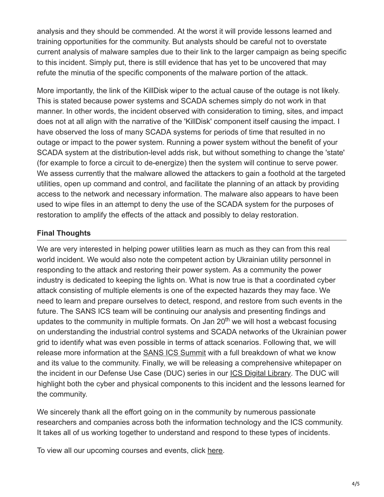analysis and they should be commended. At the worst it will provide lessons learned and training opportunities for the community. But analysts should be careful not to overstate current analysis of malware samples due to their link to the larger campaign as being specific to this incident. Simply put, there is still evidence that has yet to be uncovered that may refute the minutia of the specific components of the malware portion of the attack.

More importantly, the link of the KillDisk wiper to the actual cause of the outage is not likely. This is stated because power systems and SCADA schemes simply do not work in that manner. In other words, the incident observed with consideration to timing, sites, and impact does not at all align with the narrative of the 'KillDisk' component itself causing the impact. I have observed the loss of many SCADA systems for periods of time that resulted in no outage or impact to the power system. Running a power system without the benefit of your SCADA system at the distribution-level adds risk, but without something to change the 'state' (for example to force a circuit to de-energize) then the system will continue to serve power. We assess currently that the malware allowed the attackers to gain a foothold at the targeted utilities, open up command and control, and facilitate the planning of an attack by providing access to the network and necessary information. The malware also appears to have been used to wipe files in an attempt to deny the use of the SCADA system for the purposes of restoration to amplify the effects of the attack and possibly to delay restoration.

# **Final Thoughts**

We are very interested in helping power utilities learn as much as they can from this real world incident. We would also note the competent action by Ukrainian utility personnel in responding to the attack and restoring their power system. As a community the power industry is dedicated to keeping the lights on. What is now true is that a coordinated cyber attack consisting of multiple elements is one of the expected hazards they may face. We need to learn and prepare ourselves to detect, respond, and restore from such events in the future. The SANS ICS team will be continuing our analysis and presenting findings and updates to the community in multiple formats. On Jan 20<sup>th</sup> we will host a webcast focusing on understanding the industrial control systems and SCADA networks of the Ukrainian power grid to identify what was even possible in terms of attack scenarios. Following that, we will release more information at the [SANS ICS Summit](https://www.sans.org/event/ics-security-summit-2016) with a full breakdown of what we know and its value to the community. Finally, we will be releasing a comprehensive whitepaper on the incident in our Defense Use Case (DUC) series in our [ICS Digital Library.](https://ics.sans.org/ics-library) The DUC will highlight both the cyber and physical components to this incident and the lessons learned for the community.

We sincerely thank all the effort going on in the community by numerous passionate researchers and companies across both the information technology and the ICS community. It takes all of us working together to understand and respond to these types of incidents.

To view all our upcoming courses and events, click [here.](http://ics.sans.org/u/osp)